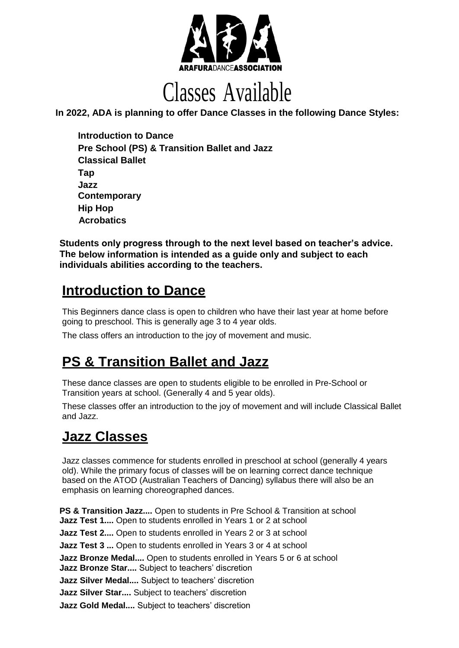

# Classes Available

**In 2022, ADA is planning to offer Dance Classes in the following Dance Styles:**

 **Introduction to Dance Pre School (PS) & Transition Ballet and Jazz Classical Ballet Tap Jazz Contemporary Hip Hop Acrobatics**

**Students only progress through to the next level based on teacher's advice. The below information is intended as a guide only and subject to each individuals abilities according to the teachers.**

### **Introduction to Dance**

This Beginners dance class is open to children who have their last year at home before going to preschool. This is generally age 3 to 4 year olds.

The class offers an introduction to the joy of movement and music.

## **PS & Transition Ballet and Jazz**

These dance classes are open to students eligible to be enrolled in Pre-School or Transition years at school. (Generally 4 and 5 year olds).

These classes offer an introduction to the joy of movement and will include Classical Ballet and Jazz.

# **Jazz Classes**

Jazz classes commence for students enrolled in preschool at school (generally 4 years old). While the primary focus of classes will be on learning correct dance technique based on the ATOD (Australian Teachers of Dancing) syllabus there will also be an emphasis on learning choreographed dances.

**PS & Transition Jazz....** Open to students in Pre School & Transition at school **Jazz Test 1....** Open to students enrolled in Years 1 or 2 at school **Jazz Test 2....** Open to students enrolled in Years 2 or 3 at school **Jazz Test 3 ...** Open to students enrolled in Years 3 or 4 at school **Jazz Bronze Medal....** Open to students enrolled in Years 5 or 6 at school **Jazz Bronze Star....** Subject to teachers' discretion **Jazz Silver Medal....** Subject to teachers' discretion **Jazz Silver Star....** Subject to teachers' discretion **Jazz Gold Medal....** Subject to teachers' discretion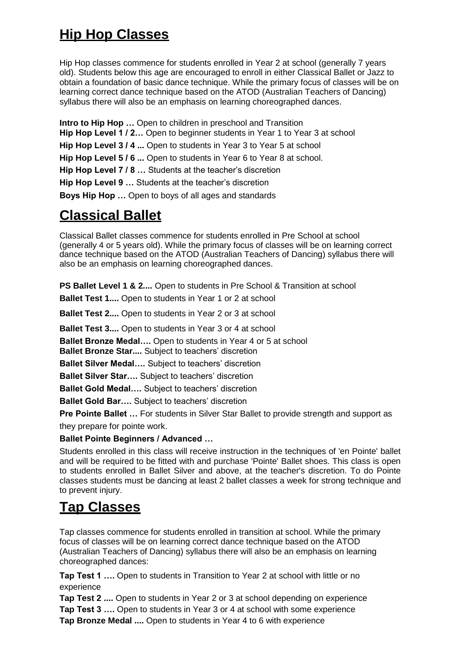# **Hip Hop Classes**

Hip Hop classes commence for students enrolled in Year 2 at school (generally 7 years old). Students below this age are encouraged to enroll in either Classical Ballet or Jazz to obtain a foundation of basic dance technique. While the primary focus of classes will be on learning correct dance technique based on the ATOD (Australian Teachers of Dancing) syllabus there will also be an emphasis on learning choreographed dances.

**Intro to Hip Hop …** Open to children in preschool and Transition

**Hip Hop Level 1 / 2…** Open to beginner students in Year 1 to Year 3 at school

**Hip Hop Level 3 / 4 ...** Open to students in Year 3 to Year 5 at school

**Hip Hop Level 5 / 6 ...** Open to students in Year 6 to Year 8 at school.

**Hip Hop Level 7 / 8 …** Students at the teacher's discretion

**Hip Hop Level 9 …** Students at the teacher's discretion

**Boys Hip Hop …** Open to boys of all ages and standards

### **Classical Ballet**

Classical Ballet classes commence for students enrolled in Pre School at school (generally 4 or 5 years old). While the primary focus of classes will be on learning correct dance technique based on the ATOD (Australian Teachers of Dancing) syllabus there will also be an emphasis on learning choreographed dances.

**PS Ballet Level 1 & 2....** Open to students in Pre School & Transition at school

**Ballet Test 1....** Open to students in Year 1 or 2 at school

**Ballet Test 2....** Open to students in Year 2 or 3 at school

**Ballet Test 3....** Open to students in Year 3 or 4 at school

**Ballet Bronze Medal….** Open to students in Year 4 or 5 at school

**Ballet Bronze Star....** Subject to teachers' discretion

**Ballet Silver Medal….** Subject to teachers' discretion

**Ballet Silver Star….** Subject to teachers' discretion

**Ballet Gold Medal….** Subject to teachers' discretion

**Ballet Gold Bar….** Subject to teachers' discretion

**Pre Pointe Ballet ...** For students in Silver Star Ballet to provide strength and support as

they prepare for pointe work.

**Ballet Pointe Beginners / Advanced …**

Students enrolled in this class will receive instruction in the techniques of 'en Pointe' ballet and will be required to be fitted with and purchase 'Pointe' Ballet shoes. This class is open to students enrolled in Ballet Silver and above, at the teacher's discretion. To do Pointe classes students must be dancing at least 2 ballet classes a week for strong technique and to prevent injury.

## **Tap Classes**

Tap classes commence for students enrolled in transition at school. While the primary focus of classes will be on learning correct dance technique based on the ATOD (Australian Teachers of Dancing) syllabus there will also be an emphasis on learning choreographed dances:

**Tap Test 1 ….** Open to students in Transition to Year 2 at school with little or no experience

**Tap Test 2 ....** Open to students in Year 2 or 3 at school depending on experience **Tap Test 3 ….** Open to students in Year 3 or 4 at school with some experience **Tap Bronze Medal ....** Open to students in Year 4 to 6 with experience